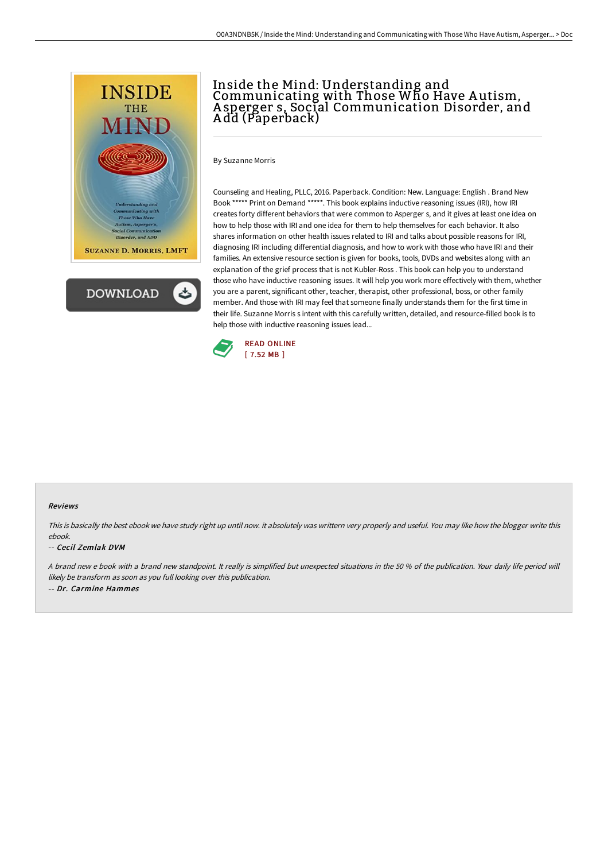



# Inside the Mind: Understanding and Communicating with Those Who Have A utism, A sperger s, Social Communication Disorder, and A dd (Paperback)

By Suzanne Morris

Counseling and Healing, PLLC, 2016. Paperback. Condition: New. Language: English . Brand New Book \*\*\*\*\* Print on Demand \*\*\*\*\*. This book explains inductive reasoning issues (IRI), how IRI creates forty different behaviors that were common to Asperger s, and it gives at least one idea on how to help those with IRI and one idea for them to help themselves for each behavior. It also shares information on other health issues related to IRI and talks about possible reasons for IRI, diagnosing IRI including differential diagnosis, and how to work with those who have IRI and their families. An extensive resource section is given for books, tools, DVDs and websites along with an explanation of the grief process that is not Kubler-Ross . This book can help you to understand those who have inductive reasoning issues. It will help you work more effectively with them, whether you are a parent, significant other, teacher, therapist, other professional, boss, or other family member. And those with IRI may feel that someone finally understands them for the first time in their life. Suzanne Morris s intent with this carefully written, detailed, and resource-filled book is to help those with inductive reasoning issues lead...



#### Reviews

This is basically the best ebook we have study right up until now. it absolutely was writtern very properly and useful. You may like how the blogger write this ebook.

#### -- Cecil Zemlak DVM

A brand new <sup>e</sup> book with <sup>a</sup> brand new standpoint. It really is simplified but unexpected situations in the 50 % of the publication. Your daily life period will likely be transform as soon as you full looking over this publication. -- Dr. Carmine Hammes